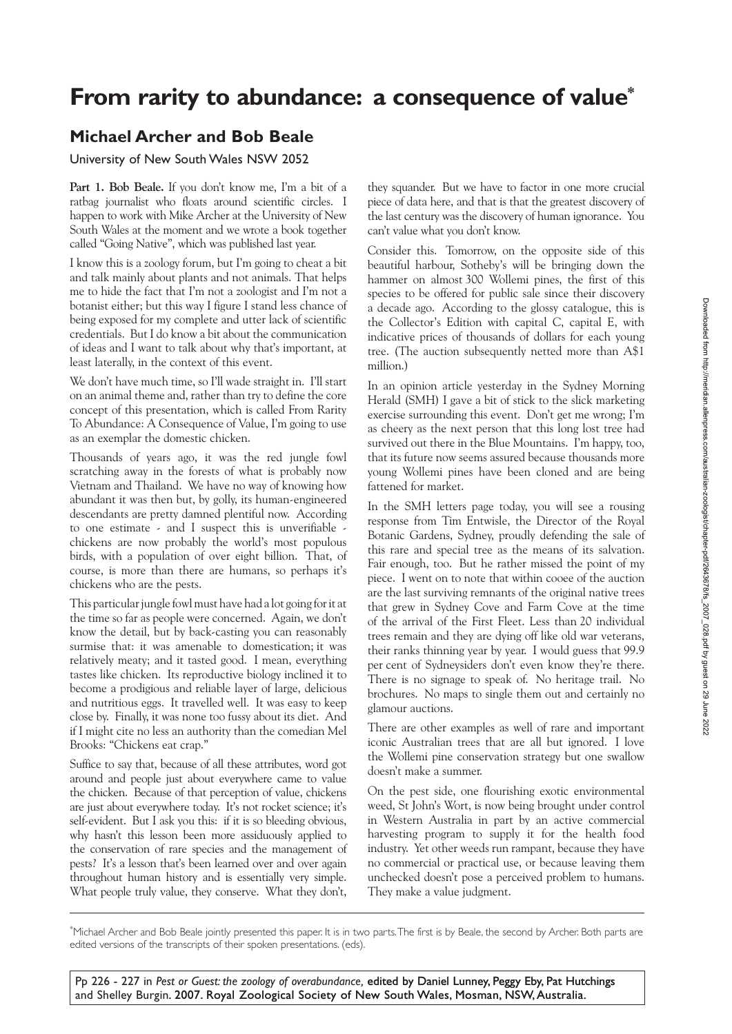## **From rarity to abundance: a consequence of value\***

## **Michael Archer and Bob Beale**

University of New South Wales NSW 2052

**Part 1. Bob Beale.** If you don't know me, I'm a bit of a ratbag journalist who floats around scientific circles. I happen to work with Mike Archer at the University of New South Wales at the moment and we wrote a book together called "Going Native", which was published last year.

I know this is a zoology forum, but I'm going to cheat a bit and talk mainly about plants and not animals. That helps me to hide the fact that I'm not a zoologist and I'm not a botanist either; but this way I figure I stand less chance of being exposed for my complete and utter lack of scientific credentials. But I do know a bit about the communication of ideas and I want to talk about why that's important, at least laterally, in the context of this event.

We don't have much time, so I'll wade straight in. I'll start on an animal theme and, rather than try to define the core concept of this presentation, which is called From Rarity To Abundance: A Consequence of Value, I'm going to use as an exemplar the domestic chicken.

Thousands of years ago, it was the red jungle fowl scratching away in the forests of what is probably now Vietnam and Thailand. We have no way of knowing how abundant it was then but, by golly, its human-engineered descendants are pretty damned plentiful now. According to one estimate - and I suspect this is unverifiable chickens are now probably the world's most populous birds, with a population of over eight billion. That, of course, is more than there are humans, so perhaps it's chickens who are the pests.

This particular jungle fowl must have had a lot going for it at the time so far as people were concerned. Again, we don't know the detail, but by back-casting you can reasonably surmise that: it was amenable to domestication; it was relatively meaty; and it tasted good. I mean, everything tastes like chicken. Its reproductive biology inclined it to become a prodigious and reliable layer of large, delicious and nutritious eggs. It travelled well. It was easy to keep close by. Finally, it was none too fussy about its diet. And if I might cite no less an authority than the comedian Mel Brooks: "Chickens eat crap."

Suffice to say that, because of all these attributes, word got around and people just about everywhere came to value the chicken. Because of that perception of value, chickens are just about everywhere today. It's not rocket science; it's self-evident. But I ask you this: if it is so bleeding obvious, why hasn't this lesson been more assiduously applied to the conservation of rare species and the management of pests? It's a lesson that's been learned over and over again throughout human history and is essentially very simple. What people truly value, they conserve. What they don't,

they squander. But we have to factor in one more crucial piece of data here, and that is that the greatest discovery of the last century was the discovery of human ignorance. You can't value what you don't know.

Consider this. Tomorrow, on the opposite side of this beautiful harbour, Sotheby's will be bringing down the hammer on almost 300 Wollemi pines, the first of this species to be offered for public sale since their discovery a decade ago. According to the glossy catalogue, this is the Collector's Edition with capital C, capital E, with indicative prices of thousands of dollars for each young tree. (The auction subsequently netted more than A\$1 million.)

In an opinion article yesterday in the Sydney Morning Herald (SMH) I gave a bit of stick to the slick marketing exercise surrounding this event. Don't get me wrong; I'm as cheery as the next person that this long lost tree had survived out there in the Blue Mountains. I'm happy, too, that its future now seems assured because thousands more young Wollemi pines have been cloned and are being fattened for market.

In the SMH letters page today, you will see a rousing response from Tim Entwisle, the Director of the Royal Botanic Gardens, Sydney, proudly defending the sale of this rare and special tree as the means of its salvation. Fair enough, too. But he rather missed the point of my piece. I went on to note that within cooee of the auction are the last surviving remnants of the original native trees that grew in Sydney Cove and Farm Cove at the time of the arrival of the First Fleet. Less than 20 individual trees remain and they are dying off like old war veterans, their ranks thinning year by year. I would guess that 99.9 per cent of Sydneysiders don't even know they're there. There is no signage to speak of. No heritage trail. No brochures. No maps to single them out and certainly no glamour auctions.

There are other examples as well of rare and important iconic Australian trees that are all but ignored. I love the Wollemi pine conservation strategy but one swallow doesn't make a summer.

On the pest side, one flourishing exotic environmental weed, St John's Wort, is now being brought under control in Western Australia in part by an active commercial harvesting program to supply it for the health food industry. Yet other weeds run rampant, because they have no commercial or practical use, or because leaving them unchecked doesn't pose a perceived problem to humans. They make a value judgment.

\* Michael Archer and Bob Beale jointly presented this paper. It is in two parts. The first is by Beale, the second by Archer. Both parts are edited versions of the transcripts of their spoken presentations. (eds).

Pp 226 - 227 in Pest or Guest: the zoology of overabundance, edited by Daniel Lunney, Peggy Eby, Pat Hutchings and Shelley Burgin. 2007. Royal Zoological Society of New South Wales, Mosman, NSW, Australia.